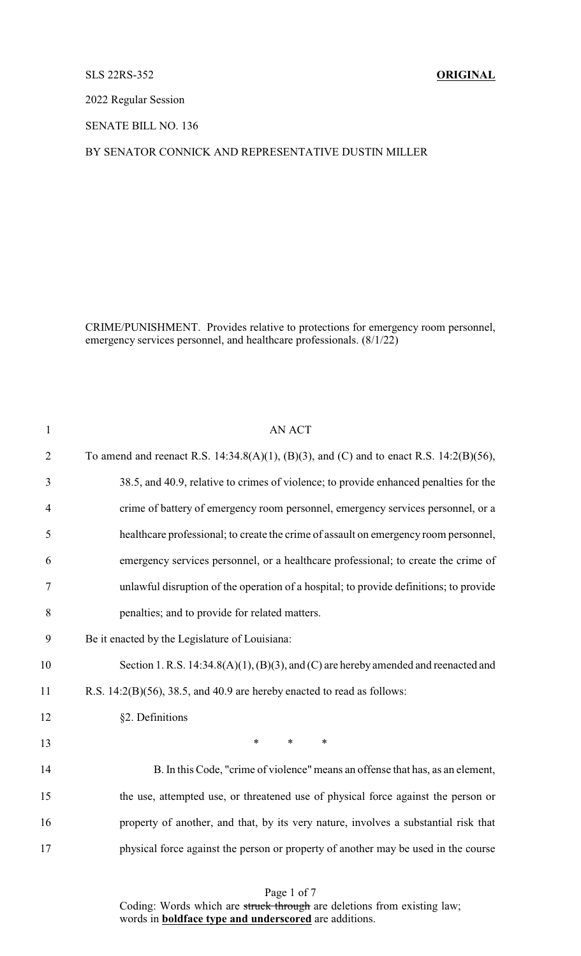## SLS 22RS-352 **ORIGINAL**

2022 Regular Session

SENATE BILL NO. 136

## BY SENATOR CONNICK AND REPRESENTATIVE DUSTIN MILLER

CRIME/PUNISHMENT. Provides relative to protections for emergency room personnel, emergency services personnel, and healthcare professionals. (8/1/22)

| $\mathbf{1}$   | <b>AN ACT</b>                                                                               |
|----------------|---------------------------------------------------------------------------------------------|
| $\overline{2}$ | To amend and reenact R.S. 14:34.8(A)(1), (B)(3), and (C) and to enact R.S. 14:2(B)(56),     |
| 3              | 38.5, and 40.9, relative to crimes of violence; to provide enhanced penalties for the       |
| $\overline{4}$ | crime of battery of emergency room personnel, emergency services personnel, or a            |
| 5              | healthcare professional; to create the crime of assault on emergency room personnel,        |
| 6              | emergency services personnel, or a healthcare professional; to create the crime of          |
| 7              | unlawful disruption of the operation of a hospital; to provide definitions; to provide      |
| 8              | penalties; and to provide for related matters.                                              |
| 9              | Be it enacted by the Legislature of Louisiana:                                              |
| 10             | Section 1. R.S. $14:34.8(A)(1)$ , $(B)(3)$ , and $(C)$ are hereby amended and reenacted and |
| 11             | R.S. $14:2(B)(56)$ , $38.5$ , and $40.9$ are hereby enacted to read as follows:             |
| 12             | §2. Definitions                                                                             |
| 13             | $\ast$<br>$\ast$<br>$\ast$                                                                  |
| 14             | B. In this Code, "crime of violence" means an offense that has, as an element,              |
| 15             | the use, attempted use, or threatened use of physical force against the person or           |
| 16             | property of another, and that, by its very nature, involves a substantial risk that         |
| 17             | physical force against the person or property of another may be used in the course          |
|                |                                                                                             |

Page 1 of 7 Coding: Words which are struck through are deletions from existing law; words in **boldface type and underscored** are additions.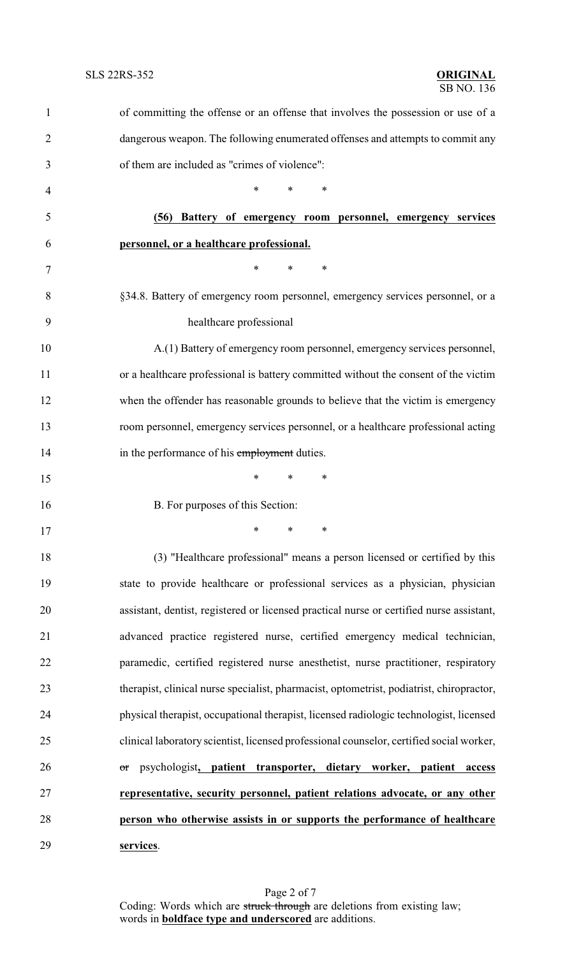| $\mathbf{1}$   | of committing the offense or an offense that involves the possession or use of a         |  |  |
|----------------|------------------------------------------------------------------------------------------|--|--|
| $\overline{2}$ | dangerous weapon. The following enumerated offenses and attempts to commit any           |  |  |
| 3              | of them are included as "crimes of violence":                                            |  |  |
| 4              | $\ast$<br>*<br>$\ast$                                                                    |  |  |
| 5              | (56) Battery of emergency room personnel, emergency services                             |  |  |
| 6              | personnel, or a healthcare professional.                                                 |  |  |
| 7              | $\ast$<br>*<br>∗                                                                         |  |  |
| 8              | §34.8. Battery of emergency room personnel, emergency services personnel, or a           |  |  |
| 9              | healthcare professional                                                                  |  |  |
| 10             | A.(1) Battery of emergency room personnel, emergency services personnel,                 |  |  |
| 11             | or a healthcare professional is battery committed without the consent of the victim      |  |  |
| 12             | when the offender has reasonable grounds to believe that the victim is emergency         |  |  |
| 13             | room personnel, emergency services personnel, or a healthcare professional acting        |  |  |
| 14             | in the performance of his employment duties.                                             |  |  |
| 15             | *<br>∗<br>∗                                                                              |  |  |
| 16             | B. For purposes of this Section:                                                         |  |  |
| 17             | ∗<br>$\ast$<br>∗                                                                         |  |  |
| 18             | (3) "Healthcare professional" means a person licensed or certified by this               |  |  |
| 19             | state to provide healthcare or professional services as a physician, physician           |  |  |
| 20             | assistant, dentist, registered or licensed practical nurse or certified nurse assistant, |  |  |
| 21             | advanced practice registered nurse, certified emergency medical technician,              |  |  |
| 22             | paramedic, certified registered nurse anesthetist, nurse practitioner, respiratory       |  |  |
| 23             | therapist, clinical nurse specialist, pharmacist, optometrist, podiatrist, chiropractor, |  |  |
| 24             | physical therapist, occupational therapist, licensed radiologic technologist, licensed   |  |  |
| 25             | clinical laboratory scientist, licensed professional counselor, certified social worker, |  |  |
| 26             | psychologist, patient transporter, dietary worker, patient<br>access<br>or               |  |  |
| 27             | representative, security personnel, patient relations advocate, or any other             |  |  |
| 28             | person who otherwise assists in or supports the performance of healthcare                |  |  |
| 29             | services.                                                                                |  |  |

Page 2 of 7 Coding: Words which are struck through are deletions from existing law; words in **boldface type and underscored** are additions.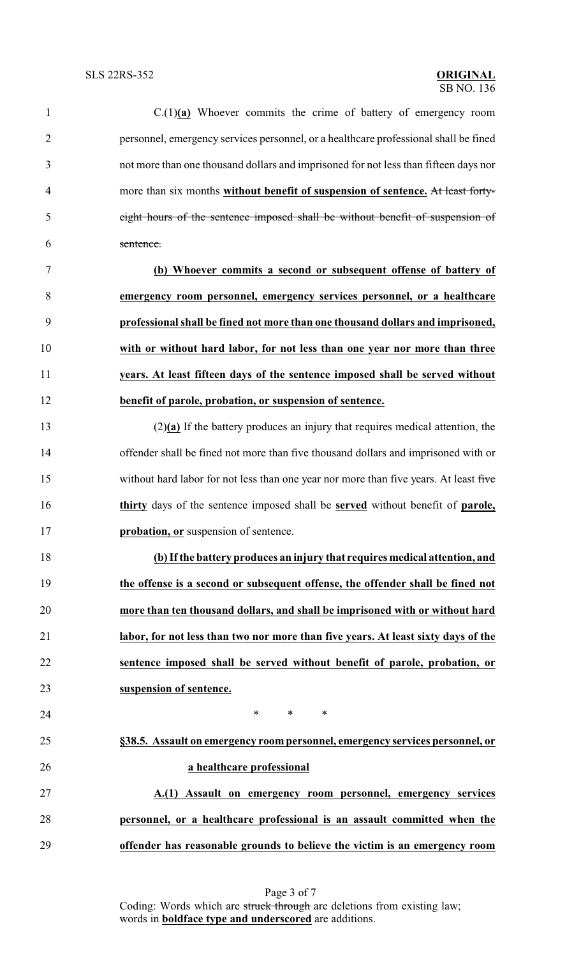| $\mathbf{1}$   | $C(1)(a)$ Whoever commits the crime of battery of emergency room                              |  |  |
|----------------|-----------------------------------------------------------------------------------------------|--|--|
| $\overline{2}$ | personnel, emergency services personnel, or a healthcare professional shall be fined          |  |  |
| 3              | not more than one thousand dollars and imprisoned for not less than fifteen days nor          |  |  |
| 4              | more than six months without benefit of suspension of sentence. At least forty-               |  |  |
| 5              | eight hours of the sentence imposed shall be without benefit of suspension of                 |  |  |
| 6              | sentence.                                                                                     |  |  |
| 7              | (b) Whoever commits a second or subsequent offense of battery of                              |  |  |
| 8              | emergency room personnel, emergency services personnel, or a healthcare                       |  |  |
| 9              | professional shall be fined not more than one thousand dollars and imprisoned,                |  |  |
| 10             | with or without hard labor, for not less than one year nor more than three                    |  |  |
| 11             | years. At least fifteen days of the sentence imposed shall be served without                  |  |  |
| 12             | benefit of parole, probation, or suspension of sentence.                                      |  |  |
| 13             | $(2)(a)$ If the battery produces an injury that requires medical attention, the               |  |  |
| 14             | offender shall be fined not more than five thousand dollars and imprisoned with or            |  |  |
| 15             | without hard labor for not less than one year nor more than five years. At least five         |  |  |
| 16             | thirty days of the sentence imposed shall be <b>served</b> without benefit of <b>parole</b> , |  |  |
| 17             | probation, or suspension of sentence.                                                         |  |  |
| 18             | (b) If the battery produces an injury that requires medical attention, and                    |  |  |
| 19             | the offense is a second or subsequent offense, the offender shall be fined not                |  |  |
| 20             | more than ten thousand dollars, and shall be imprisoned with or without hard                  |  |  |
| 21             | labor, for not less than two nor more than five years. At least sixty days of the             |  |  |
| 22             | sentence imposed shall be served without benefit of parole, probation, or                     |  |  |
| 23             | suspension of sentence.                                                                       |  |  |
| 24             | $\ast$<br>$\ast$<br>$\ast$                                                                    |  |  |
| 25             | §38.5. Assault on emergency room personnel, emergency services personnel, or                  |  |  |
| 26             | a healthcare professional                                                                     |  |  |
| 27             | A.(1) Assault on emergency room personnel, emergency services                                 |  |  |
| 28             | personnel, or a healthcare professional is an assault committed when the                      |  |  |
| 29             | offender has reasonable grounds to believe the victim is an emergency room                    |  |  |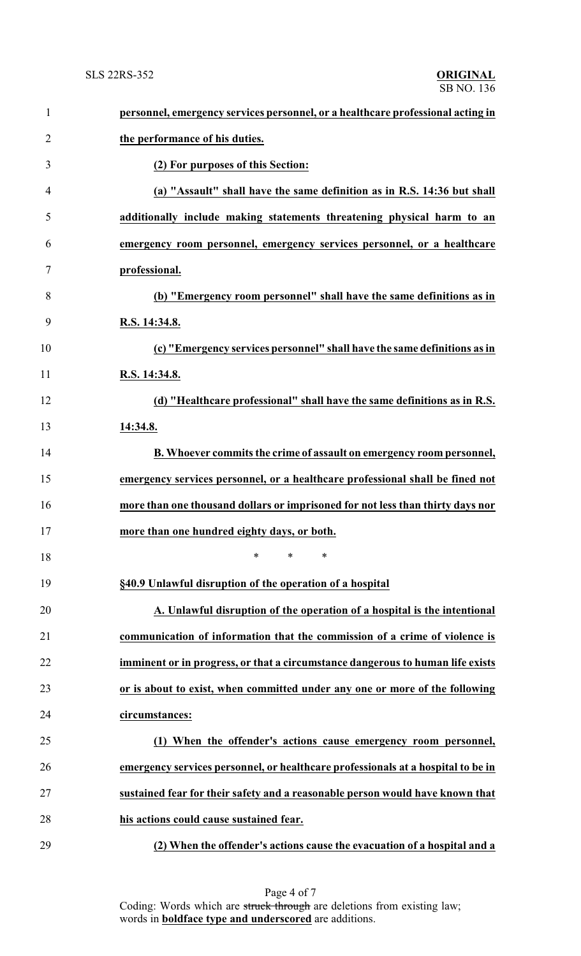| $\mathbf{1}$   | personnel, emergency services personnel, or a healthcare professional acting in  |
|----------------|----------------------------------------------------------------------------------|
| $\overline{2}$ | the performance of his duties.                                                   |
| 3              | (2) For purposes of this Section:                                                |
| 4              | (a) "Assault" shall have the same definition as in R.S. 14:36 but shall          |
| 5              | additionally include making statements threatening physical harm to an           |
| 6              | emergency room personnel, emergency services personnel, or a healthcare          |
| 7              | professional.                                                                    |
| 8              | (b) "Emergency room personnel" shall have the same definitions as in             |
| 9              | R.S. 14:34.8.                                                                    |
| 10             | (c) "Emergency services personnel" shall have the same definitions as in         |
| 11             | R.S. 14:34.8.                                                                    |
| 12             | (d) "Healthcare professional" shall have the same definitions as in R.S.         |
| 13             | 14:34.8.                                                                         |
| 14             | B. Whoever commits the crime of assault on emergency room personnel,             |
| 15             | emergency services personnel, or a healthcare professional shall be fined not    |
| 16             | more than one thousand dollars or imprisoned for not less than thirty days nor   |
| 17             | more than one hundred eighty days, or both.                                      |
| 18             | *<br>*<br>∗                                                                      |
| 19             | §40.9 Unlawful disruption of the operation of a hospital                         |
| 20             | A. Unlawful disruption of the operation of a hospital is the intentional         |
| 21             | communication of information that the commission of a crime of violence is       |
| 22             | imminent or in progress, or that a circumstance dangerous to human life exists   |
| 23             | or is about to exist, when committed under any one or more of the following      |
| 24             | circumstances:                                                                   |
| 25             | (1) When the offender's actions cause emergency room personnel,                  |
| 26             | emergency services personnel, or healthcare professionals at a hospital to be in |
| 27             | sustained fear for their safety and a reasonable person would have known that    |
| 28             | his actions could cause sustained fear.                                          |
| 29             | (2) When the offender's actions cause the evacuation of a hospital and a         |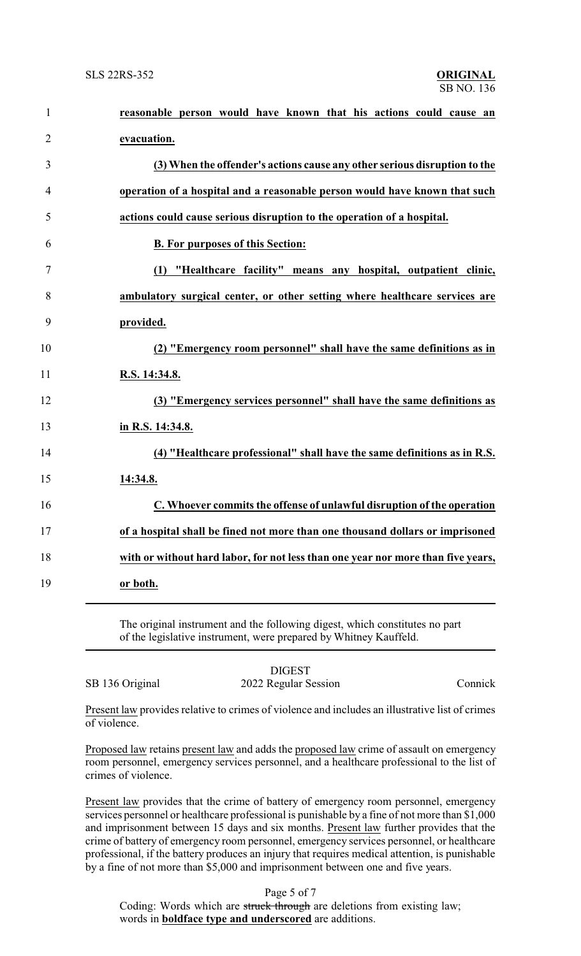| $\mathbf{1}$   | reasonable person would have known that his actions could cause an               |
|----------------|----------------------------------------------------------------------------------|
| $\overline{2}$ | evacuation.                                                                      |
| 3              | (3) When the offender's actions cause any other serious disruption to the        |
| $\overline{4}$ | operation of a hospital and a reasonable person would have known that such       |
| 5              | actions could cause serious disruption to the operation of a hospital.           |
| 6              | <b>B. For purposes of this Section:</b>                                          |
| $\tau$         | (1) "Healthcare facility" means any hospital, outpatient clinic,                 |
| 8              | ambulatory surgical center, or other setting where healthcare services are       |
| 9              | provided.                                                                        |
| 10             | (2) "Emergency room personnel" shall have the same definitions as in             |
| 11             | R.S. 14:34.8.                                                                    |
| 12             | (3) "Emergency services personnel" shall have the same definitions as            |
| 13             | in R.S. 14:34.8.                                                                 |
| 14             | (4) "Healthcare professional" shall have the same definitions as in R.S.         |
| 15             | 14:34.8.                                                                         |
| 16             | C. Whoever commits the offense of unlawful disruption of the operation           |
| 17             | of a hospital shall be fined not more than one thousand dollars or imprisoned    |
| 18             | with or without hard labor, for not less than one year nor more than five years, |
| 19             | or both.                                                                         |
|                |                                                                                  |

The original instrument and the following digest, which constitutes no part of the legislative instrument, were prepared by Whitney Kauffeld.

|                 | <b>DIGEST</b>        |         |
|-----------------|----------------------|---------|
| SB 136 Original | 2022 Regular Session | Connick |

Present law provides relative to crimes of violence and includes an illustrative list of crimes of violence.

Proposed law retains present law and adds the proposed law crime of assault on emergency room personnel, emergency services personnel, and a healthcare professional to the list of crimes of violence.

Present law provides that the crime of battery of emergency room personnel, emergency services personnel or healthcare professional is punishable by a fine of not more than \$1,000 and imprisonment between 15 days and six months. Present law further provides that the crime of battery of emergency room personnel, emergency services personnel, or healthcare professional, if the battery produces an injury that requires medical attention, is punishable by a fine of not more than \$5,000 and imprisonment between one and five years.

Page 5 of 7

Coding: Words which are struck through are deletions from existing law; words in **boldface type and underscored** are additions.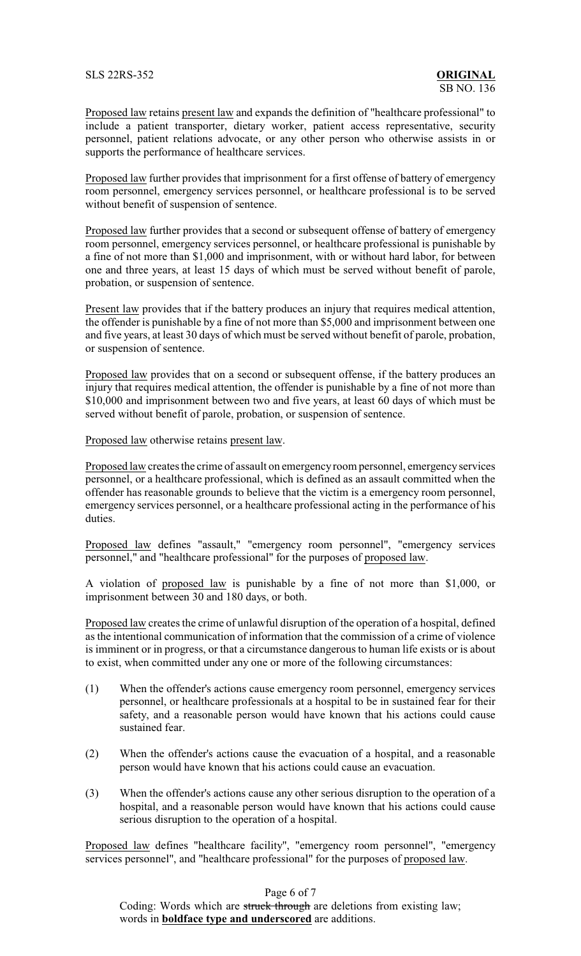SLS 22RS-352 **ORIGINAL**

Proposed law retains present law and expands the definition of "healthcare professional" to include a patient transporter, dietary worker, patient access representative, security personnel, patient relations advocate, or any other person who otherwise assists in or supports the performance of healthcare services.

Proposed law further provides that imprisonment for a first offense of battery of emergency room personnel, emergency services personnel, or healthcare professional is to be served without benefit of suspension of sentence.

Proposed law further provides that a second or subsequent offense of battery of emergency room personnel, emergency services personnel, or healthcare professional is punishable by a fine of not more than \$1,000 and imprisonment, with or without hard labor, for between one and three years, at least 15 days of which must be served without benefit of parole, probation, or suspension of sentence.

Present law provides that if the battery produces an injury that requires medical attention, the offender is punishable by a fine of not more than \$5,000 and imprisonment between one and five years, at least 30 days of which must be served without benefit of parole, probation, or suspension of sentence.

Proposed law provides that on a second or subsequent offense, if the battery produces an injury that requires medical attention, the offender is punishable by a fine of not more than \$10,000 and imprisonment between two and five years, at least 60 days of which must be served without benefit of parole, probation, or suspension of sentence.

Proposed law otherwise retains present law.

Proposed law creates the crime of assault on emergencyroom personnel, emergencyservices personnel, or a healthcare professional, which is defined as an assault committed when the offender has reasonable grounds to believe that the victim is a emergency room personnel, emergency services personnel, or a healthcare professional acting in the performance of his duties.

Proposed law defines "assault," "emergency room personnel", "emergency services personnel," and "healthcare professional" for the purposes of proposed law.

A violation of proposed law is punishable by a fine of not more than \$1,000, or imprisonment between 30 and 180 days, or both.

Proposed law creates the crime of unlawful disruption of the operation of a hospital, defined as the intentional communication of information that the commission of a crime of violence is imminent or in progress, or that a circumstance dangerous to human life exists or is about to exist, when committed under any one or more of the following circumstances:

- (1) When the offender's actions cause emergency room personnel, emergency services personnel, or healthcare professionals at a hospital to be in sustained fear for their safety, and a reasonable person would have known that his actions could cause sustained fear.
- (2) When the offender's actions cause the evacuation of a hospital, and a reasonable person would have known that his actions could cause an evacuation.
- (3) When the offender's actions cause any other serious disruption to the operation of a hospital, and a reasonable person would have known that his actions could cause serious disruption to the operation of a hospital.

Proposed law defines "healthcare facility", "emergency room personnel", "emergency services personnel", and "healthcare professional" for the purposes of proposed law.

Page 6 of 7

Coding: Words which are struck through are deletions from existing law; words in **boldface type and underscored** are additions.